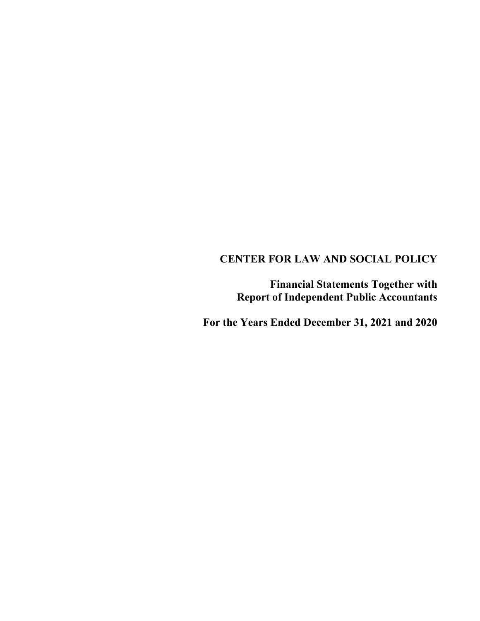**Financial Statements Together with Report of Independent Public Accountants**

**For the Years Ended December 31, 2021 and 2020**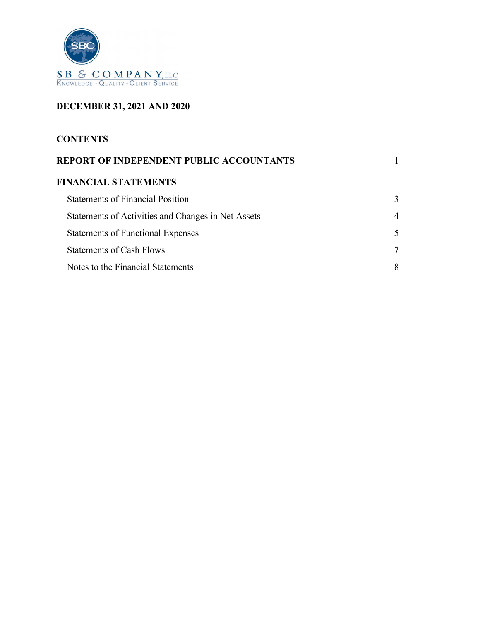

# **DECEMBER 31, 2021 AND 2020**

## **CONTENTS**

| REPORT OF INDEPENDENT PUBLIC ACCOUNTANTS           |               |  |  |
|----------------------------------------------------|---------------|--|--|
| <b>FINANCIAL STATEMENTS</b>                        |               |  |  |
| <b>Statements of Financial Position</b>            | $\mathcal{Z}$ |  |  |
| Statements of Activities and Changes in Net Assets | 4             |  |  |
| <b>Statements of Functional Expenses</b>           | $\mathcal{F}$ |  |  |
| <b>Statements of Cash Flows</b>                    | 7             |  |  |
| Notes to the Financial Statements                  | 8             |  |  |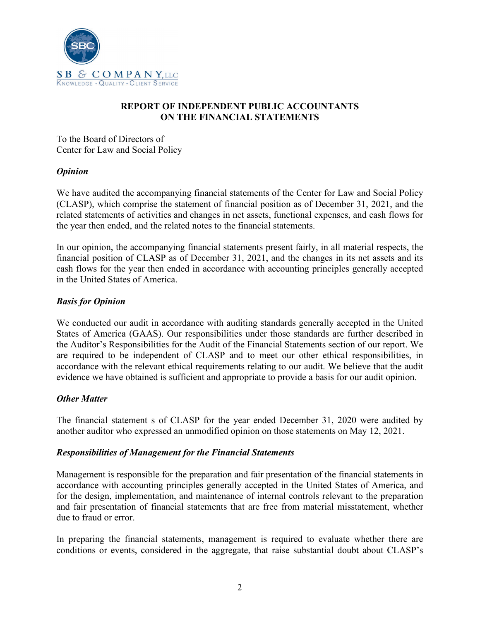

## **REPORT OF INDEPENDENT PUBLIC ACCOUNTANTS ON THE FINANCIAL STATEMENTS**

To the Board of Directors of Center for Law and Social Policy

## *Opinion*

We have audited the accompanying financial statements of the Center for Law and Social Policy (CLASP), which comprise the statement of financial position as of December 31, 2021, and the related statements of activities and changes in net assets, functional expenses, and cash flows for the year then ended, and the related notes to the financial statements.

In our opinion, the accompanying financial statements present fairly, in all material respects, the financial position of CLASP as of December 31, 2021, and the changes in its net assets and its cash flows for the year then ended in accordance with accounting principles generally accepted in the United States of America.

## *Basis for Opinion*

We conducted our audit in accordance with auditing standards generally accepted in the United States of America (GAAS). Our responsibilities under those standards are further described in the Auditor's Responsibilities for the Audit of the Financial Statements section of our report. We are required to be independent of CLASP and to meet our other ethical responsibilities, in accordance with the relevant ethical requirements relating to our audit. We believe that the audit evidence we have obtained is sufficient and appropriate to provide a basis for our audit opinion.

#### *Other Matter*

The financial statement s of CLASP for the year ended December 31, 2020 were audited by another auditor who expressed an unmodified opinion on those statements on May 12, 2021.

#### *Responsibilities of Management for the Financial Statements*

Management is responsible for the preparation and fair presentation of the financial statements in accordance with accounting principles generally accepted in the United States of America, and for the design, implementation, and maintenance of internal controls relevant to the preparation and fair presentation of financial statements that are free from material misstatement, whether due to fraud or error.

In preparing the financial statements, management is required to evaluate whether there are conditions or events, considered in the aggregate, that raise substantial doubt about CLASP's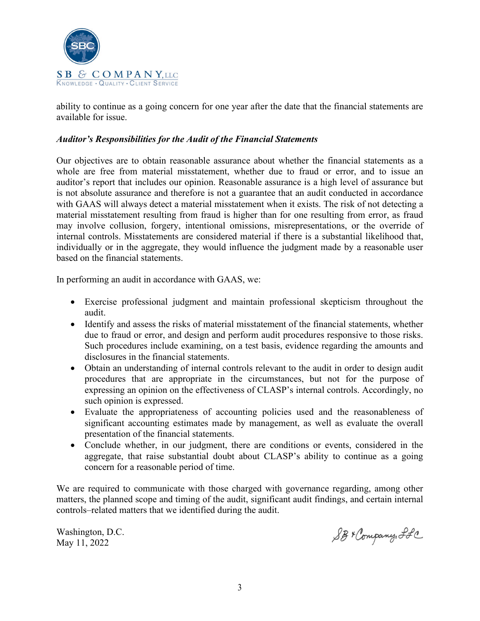

ability to continue as a going concern for one year after the date that the financial statements are available for issue.

### *Auditor's Responsibilities for the Audit of the Financial Statements*

Our objectives are to obtain reasonable assurance about whether the financial statements as a whole are free from material misstatement, whether due to fraud or error, and to issue an auditor's report that includes our opinion. Reasonable assurance is a high level of assurance but is not absolute assurance and therefore is not a guarantee that an audit conducted in accordance with GAAS will always detect a material misstatement when it exists. The risk of not detecting a material misstatement resulting from fraud is higher than for one resulting from error, as fraud may involve collusion, forgery, intentional omissions, misrepresentations, or the override of internal controls. Misstatements are considered material if there is a substantial likelihood that, individually or in the aggregate, they would influence the judgment made by a reasonable user based on the financial statements.

In performing an audit in accordance with GAAS, we:

- Exercise professional judgment and maintain professional skepticism throughout the audit.
- Identify and assess the risks of material misstatement of the financial statements, whether due to fraud or error, and design and perform audit procedures responsive to those risks. Such procedures include examining, on a test basis, evidence regarding the amounts and disclosures in the financial statements.
- Obtain an understanding of internal controls relevant to the audit in order to design audit procedures that are appropriate in the circumstances, but not for the purpose of expressing an opinion on the effectiveness of CLASP's internal controls. Accordingly, no such opinion is expressed.
- Evaluate the appropriateness of accounting policies used and the reasonableness of significant accounting estimates made by management, as well as evaluate the overall presentation of the financial statements.
- Conclude whether, in our judgment, there are conditions or events, considered in the aggregate, that raise substantial doubt about CLASP's ability to continue as a going concern for a reasonable period of time.

We are required to communicate with those charged with governance regarding, among other matters, the planned scope and timing of the audit, significant audit findings, and certain internal controls–related matters that we identified during the audit.

Washington, D.C. May 11, 2022

SB+ Company, ILC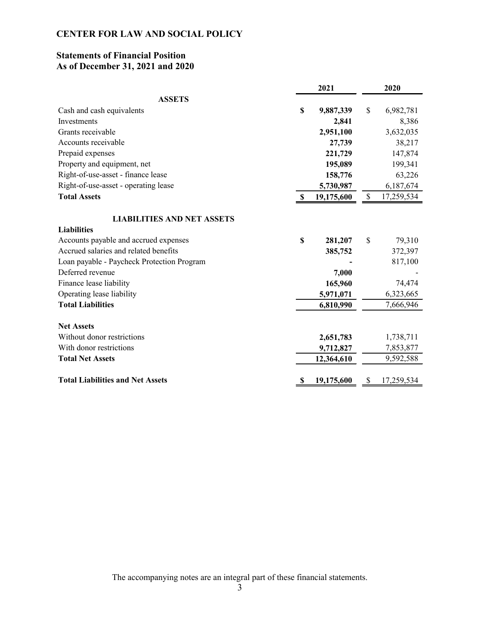## **Statements of Financial Position As of December 31, 2021 and 2020**

| 2021 |            |                           | 2020       |
|------|------------|---------------------------|------------|
|      |            |                           |            |
| \$   | 9,887,339  | \$                        | 6,982,781  |
|      | 2,841      |                           | 8,386      |
|      | 2,951,100  |                           | 3,632,035  |
|      | 27,739     |                           | 38,217     |
|      | 221,729    |                           | 147,874    |
|      | 195,089    |                           | 199,341    |
|      | 158,776    |                           | 63,226     |
|      | 5,730,987  |                           | 6,187,674  |
| -S   | 19,175,600 | $\boldsymbol{\mathsf{S}}$ | 17,259,534 |
|      |            |                           |            |
|      |            |                           |            |
| \$   | 281,207    | \$                        | 79,310     |
|      | 385,752    |                           | 372,397    |
|      |            |                           | 817,100    |
|      | 7,000      |                           |            |
|      | 165,960    |                           | 74,474     |
|      | 5,971,071  |                           | 6,323,665  |
|      | 6,810,990  |                           | 7,666,946  |
|      |            |                           |            |
|      | 2,651,783  |                           | 1,738,711  |
|      | 9,712,827  |                           | 7,853,877  |
|      | 12,364,610 |                           | 9,592,588  |
| -SS  | 19,175,600 | S                         | 17,259,534 |
|      |            |                           |            |

The accompanying notes are an integral part of these financial statements.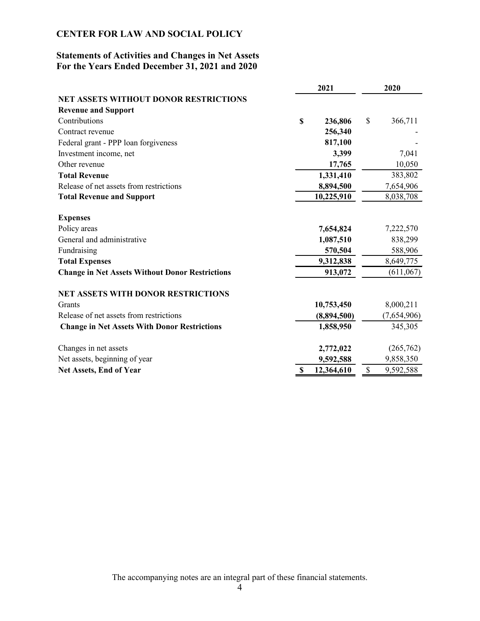## **Statements of Activities and Changes in Net Assets For the Years Ended December 31, 2021 and 2020**

|                                                        | 2021 |             |              | 2020        |
|--------------------------------------------------------|------|-------------|--------------|-------------|
| <b>NET ASSETS WITHOUT DONOR RESTRICTIONS</b>           |      |             |              |             |
| <b>Revenue and Support</b>                             |      |             |              |             |
| Contributions                                          | \$   | 236,806     | $\mathbb{S}$ | 366,711     |
| Contract revenue                                       |      | 256,340     |              |             |
| Federal grant - PPP loan forgiveness                   |      | 817,100     |              |             |
| Investment income, net                                 |      | 3,399       |              | 7,041       |
| Other revenue                                          |      | 17,765      |              | 10,050      |
| <b>Total Revenue</b>                                   |      | 1,331,410   |              | 383,802     |
| Release of net assets from restrictions                |      | 8,894,500   |              | 7,654,906   |
| <b>Total Revenue and Support</b>                       |      | 10,225,910  |              | 8,038,708   |
| <b>Expenses</b>                                        |      |             |              |             |
| Policy areas                                           |      | 7,654,824   |              | 7,222,570   |
| General and administrative                             |      | 1,087,510   |              | 838,299     |
| Fundraising                                            |      | 570,504     |              | 588,906     |
| <b>Total Expenses</b>                                  |      | 9,312,838   |              | 8,649,775   |
| <b>Change in Net Assets Without Donor Restrictions</b> |      | 913,072     |              | (611, 067)  |
| <b>NET ASSETS WITH DONOR RESTRICTIONS</b>              |      |             |              |             |
| Grants                                                 |      | 10,753,450  |              | 8,000,211   |
| Release of net assets from restrictions                |      | (8,894,500) |              | (7,654,906) |
| <b>Change in Net Assets With Donor Restrictions</b>    |      | 1,858,950   |              | 345,305     |
| Changes in net assets                                  |      | 2,772,022   |              | (265,762)   |
| Net assets, beginning of year                          |      | 9,592,588   |              | 9,858,350   |
| Net Assets, End of Year                                | \$   | 12,364,610  | \$           | 9,592,588   |

The accompanying notes are an integral part of these financial statements.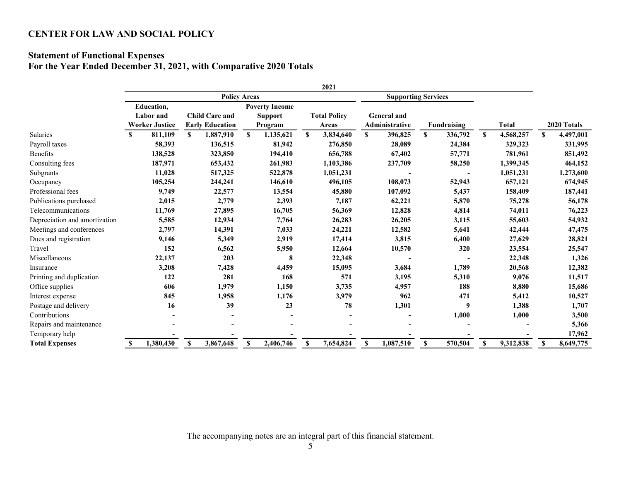## **Statement of Functional Expenses**

## **For the Year Ended December 31, 2021, with Comparative 2020 Totals**

|                               |     |                       |   |                        |    |                       |    | 2021                |    |                            |    |                    |              |              |              |             |
|-------------------------------|-----|-----------------------|---|------------------------|----|-----------------------|----|---------------------|----|----------------------------|----|--------------------|--------------|--------------|--------------|-------------|
|                               |     |                       |   | <b>Policy Areas</b>    |    |                       |    |                     |    | <b>Supporting Services</b> |    |                    |              |              |              |             |
|                               |     | Education,            |   |                        |    | <b>Poverty Income</b> |    |                     |    |                            |    |                    |              |              |              |             |
|                               |     | <b>Labor</b> and      |   | <b>Child Care and</b>  |    | <b>Support</b>        |    | <b>Total Policy</b> |    | <b>General</b> and         |    |                    |              |              |              |             |
|                               |     | <b>Worker Justice</b> |   | <b>Early Education</b> |    | Program               |    | Areas               |    | Administrative             |    | <b>Fundraising</b> |              | <b>Total</b> |              | 2020 Totals |
| Salaries                      | S   | 811,109               | S | 1,887,910              | S. | 1,135,621             | S. | 3,834,640           | S. | 396,825                    | S  | 336,792            | $\mathbf{s}$ | 4,568,257    | $\mathbf{s}$ | 4,497,001   |
| Payroll taxes                 |     | 58,393                |   | 136,515                |    | 81,942                |    | 276,850             |    | 28,089                     |    | 24,384             |              | 329,323      |              | 331,995     |
| Benefits                      |     | 138,528               |   | 323,850                |    | 194,410               |    | 656,788             |    | 67,402                     |    | 57,771             |              | 781,961      |              | 851,492     |
| Consulting fees               |     | 187,971               |   | 653,432                |    | 261,983               |    | 1,103,386           |    | 237,709                    |    | 58,250             |              | 1,399,345    |              | 464,152     |
| Subgrants                     |     | 11,028                |   | 517,325                |    | 522,878               |    | 1,051,231           |    |                            |    |                    |              | 1,051,231    |              | 1,273,600   |
| Occupancy                     |     | 105,254               |   | 244,241                |    | 146,610               |    | 496,105             |    | 108,073                    |    | 52,943             |              | 657,121      |              | 674,945     |
| Professional fees             |     | 9,749                 |   | 22,577                 |    | 13,554                |    | 45,880              |    | 107,092                    |    | 5,437              |              | 158,409      |              | 187,441     |
| Publications purchased        |     | 2,015                 |   | 2,779                  |    | 2,393                 |    | 7,187               |    | 62,221                     |    | 5,870              |              | 75,278       |              | 56,178      |
| Telecommunications            |     | 11,769                |   | 27,895                 |    | 16,705                |    | 56,369              |    | 12,828                     |    | 4,814              |              | 74,011       |              | 76,223      |
| Depreciation and amortization |     | 5,585                 |   | 12,934                 |    | 7,764                 |    | 26,283              |    | 26,205                     |    | 3,115              |              | 55,603       |              | 54,932      |
| Meetings and conferences      |     | 2,797                 |   | 14,391                 |    | 7,033                 |    | 24,221              |    | 12,582                     |    | 5,641              |              | 42,444       |              | 47,475      |
| Dues and registration         |     | 9,146                 |   | 5,349                  |    | 2,919                 |    | 17,414              |    | 3,815                      |    | 6,400              |              | 27,629       |              | 28,821      |
| Travel                        |     | 152                   |   | 6,562                  |    | 5,950                 |    | 12,664              |    | 10,570                     |    | 320                |              | 23,554       |              | 25,547      |
| Miscellaneous                 |     | 22,137                |   | 203                    |    | 8                     |    | 22,348              |    |                            |    |                    |              | 22,348       |              | 1,326       |
| Insurance                     |     | 3,208                 |   | 7,428                  |    | 4,459                 |    | 15,095              |    | 3,684                      |    | 1,789              |              | 20,568       |              | 12,382      |
| Printing and duplication      |     | 122                   |   | 281                    |    | 168                   |    | 571                 |    | 3,195                      |    | 5,310              |              | 9,076        |              | 11,517      |
| Office supplies               |     | 606                   |   | 1,979                  |    | 1,150                 |    | 3,735               |    | 4,957                      |    | 188                |              | 8,880        |              | 15,686      |
| Interest expense              |     | 845                   |   | 1,958                  |    | 1,176                 |    | 3,979               |    | 962                        |    | 471                |              | 5,412        |              | 10,527      |
| Postage and delivery          |     | 16                    |   | 39                     |    | 23                    |    | 78                  |    | 1,301                      |    | 9                  |              | 1,388        |              | 1,707       |
| Contributions                 |     |                       |   |                        |    |                       |    |                     |    |                            |    | 1,000              |              | 1,000        |              | 3,500       |
| Repairs and maintenance       |     |                       |   |                        |    |                       |    |                     |    |                            |    |                    |              |              |              | 5,366       |
| Temporary help                |     |                       |   |                        |    |                       |    |                     |    |                            |    |                    |              |              |              | 17,962      |
| <b>Total Expenses</b>         | \$. | 1,380,430             | S | 3,867,648              | S  | 2,406,746             | S  | 7,654,824           | S  | 1,087,510                  | \$ | 570,504            | S            | 9,312,838    | \$           | 8,649,775   |
|                               |     |                       |   |                        |    |                       |    |                     |    |                            |    |                    |              |              |              |             |

The accompanying notes are an integral part of this financial statement.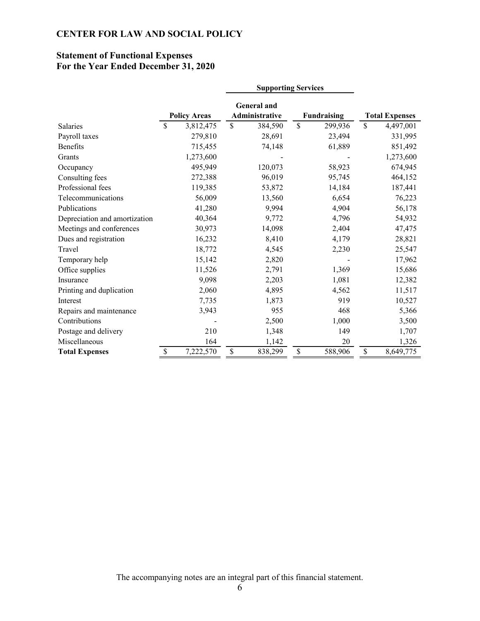## **Statement of Functional Expenses For the Year Ended December 31, 2020**

|                               |                     |           | <b>Supporting Services</b>                  |         |                    |                    |              |                       |
|-------------------------------|---------------------|-----------|---------------------------------------------|---------|--------------------|--------------------|--------------|-----------------------|
|                               | <b>Policy Areas</b> |           | <b>General</b> and<br><b>Administrative</b> |         |                    | <b>Fundraising</b> |              | <b>Total Expenses</b> |
| Salaries                      | $\mathbf{\hat{S}}$  | 3,812,475 | $\mathsf{\$}$                               | 384,590 | $\mathbf{\hat{S}}$ | 299,936            | $\mathbb{S}$ | 4,497,001             |
| Payroll taxes                 |                     | 279,810   |                                             | 28,691  |                    | 23,494             |              | 331,995               |
| Benefits                      |                     | 715,455   |                                             | 74,148  |                    | 61,889             |              | 851,492               |
| Grants                        |                     | 1,273,600 |                                             |         |                    |                    |              | 1,273,600             |
| Occupancy                     |                     | 495,949   |                                             | 120,073 |                    | 58,923             |              | 674,945               |
| Consulting fees               |                     | 272,388   |                                             | 96,019  |                    | 95,745             |              | 464,152               |
| Professional fees             |                     | 119,385   |                                             | 53,872  |                    | 14,184             |              | 187,441               |
| Telecommunications            |                     | 56,009    |                                             | 13,560  |                    | 6,654              |              | 76,223                |
| Publications                  |                     | 41,280    |                                             | 9,994   |                    | 4,904              |              | 56,178                |
| Depreciation and amortization |                     | 40,364    |                                             | 9,772   |                    | 4,796              |              | 54,932                |
| Meetings and conferences      |                     | 30,973    |                                             | 14,098  |                    | 2,404              |              | 47,475                |
| Dues and registration         |                     | 16,232    |                                             | 8,410   |                    | 4,179              |              | 28,821                |
| Travel                        |                     | 18,772    |                                             | 4,545   |                    | 2,230              |              | 25,547                |
| Temporary help                |                     | 15,142    |                                             | 2,820   |                    |                    |              | 17,962                |
| Office supplies               |                     | 11,526    |                                             | 2,791   |                    | 1,369              |              | 15,686                |
| Insurance                     |                     | 9,098     |                                             | 2,203   |                    | 1,081              |              | 12,382                |
| Printing and duplication      |                     | 2,060     |                                             | 4,895   |                    | 4,562              |              | 11,517                |
| Interest                      |                     | 7,735     |                                             | 1,873   |                    | 919                |              | 10,527                |
| Repairs and maintenance       |                     | 3,943     |                                             | 955     |                    | 468                |              | 5,366                 |
| Contributions                 |                     |           |                                             | 2,500   |                    | 1,000              |              | 3,500                 |
| Postage and delivery          |                     | 210       |                                             | 1,348   |                    | 149                |              | 1,707                 |
| Miscellaneous                 |                     | 164       |                                             | 1,142   |                    | 20                 |              | 1,326                 |
| <b>Total Expenses</b>         | \$                  | 7,222,570 | \$                                          | 838,299 | \$                 | 588,906            | \$           | 8,649,775             |

The accompanying notes are an integral part of this financial statement.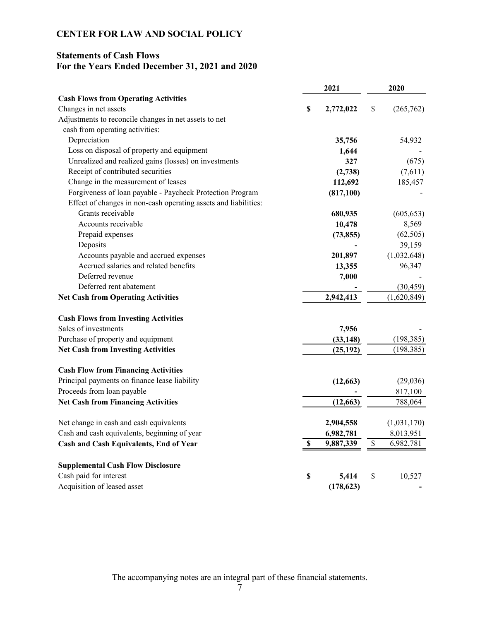## **Statements of Cash Flows For the Years Ended December 31, 2021 and 2020**

|                                                                 | 2021 |            |      | 2020        |  |  |
|-----------------------------------------------------------------|------|------------|------|-------------|--|--|
| <b>Cash Flows from Operating Activities</b>                     |      |            |      |             |  |  |
| Changes in net assets                                           | \$   | 2,772,022  | \$   | (265,762)   |  |  |
| Adjustments to reconcile changes in net assets to net           |      |            |      |             |  |  |
| cash from operating activities:                                 |      |            |      |             |  |  |
| Depreciation                                                    |      | 35,756     |      | 54,932      |  |  |
| Loss on disposal of property and equipment                      |      | 1,644      |      |             |  |  |
| Unrealized and realized gains (losses) on investments           |      | 327        |      | (675)       |  |  |
| Receipt of contributed securities                               |      | (2,738)    |      | (7,611)     |  |  |
| Change in the measurement of leases                             |      | 112,692    |      | 185,457     |  |  |
| Forgiveness of loan payable - Paycheck Protection Program       |      | (817, 100) |      |             |  |  |
| Effect of changes in non-cash operating assets and liabilities: |      |            |      |             |  |  |
| Grants receivable                                               |      | 680,935    |      | (605, 653)  |  |  |
| Accounts receivable                                             |      | 10,478     |      | 8,569       |  |  |
| Prepaid expenses                                                |      | (73, 855)  |      | (62, 505)   |  |  |
| Deposits                                                        |      |            |      | 39,159      |  |  |
| Accounts payable and accrued expenses                           |      | 201,897    |      | (1,032,648) |  |  |
| Accrued salaries and related benefits                           |      | 13,355     |      | 96,347      |  |  |
| Deferred revenue                                                |      | 7,000      |      |             |  |  |
| Deferred rent abatement                                         |      |            |      | (30, 459)   |  |  |
| <b>Net Cash from Operating Activities</b>                       |      | 2,942,413  |      | (1,620,849) |  |  |
| <b>Cash Flows from Investing Activities</b>                     |      |            |      |             |  |  |
| Sales of investments                                            |      | 7,956      |      |             |  |  |
| Purchase of property and equipment                              |      | (33, 148)  |      | (198, 385)  |  |  |
| <b>Net Cash from Investing Activities</b>                       |      | (25, 192)  |      | (198, 385)  |  |  |
|                                                                 |      |            |      |             |  |  |
| <b>Cash Flow from Financing Activities</b>                      |      |            |      |             |  |  |
| Principal payments on finance lease liability                   |      | (12, 663)  |      | (29,036)    |  |  |
| Proceeds from loan payable                                      |      |            |      | 817,100     |  |  |
| <b>Net Cash from Financing Activities</b>                       |      | (12, 663)  |      | 788,064     |  |  |
| Net change in cash and cash equivalents                         |      | 2,904,558  |      | (1,031,170) |  |  |
| Cash and cash equivalents, beginning of year                    |      | 6,982,781  |      | 8,013,951   |  |  |
| <b>Cash and Cash Equivalents, End of Year</b>                   | S    | 9,887,339  | $\$$ | 6,982,781   |  |  |
| <b>Supplemental Cash Flow Disclosure</b>                        |      |            |      |             |  |  |
| Cash paid for interest                                          | \$   | 5,414      | \$   | 10,527      |  |  |
| Acquisition of leased asset                                     |      | (178, 623) |      |             |  |  |

The accompanying notes are an integral part of these financial statements.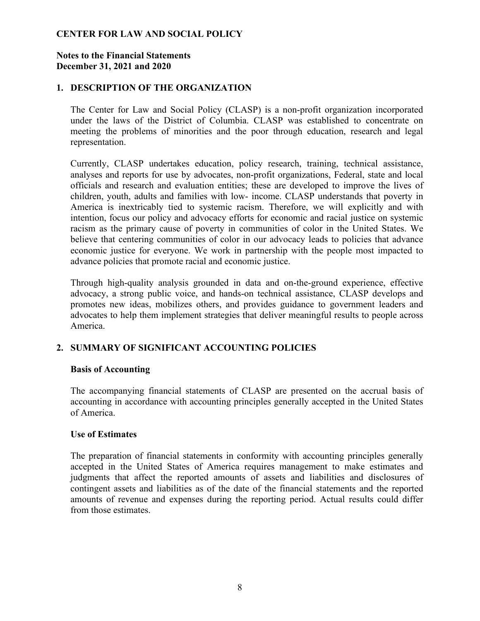#### **Notes to the Financial Statements December 31, 2021 and 2020**

#### **1. DESCRIPTION OF THE ORGANIZATION**

The Center for Law and Social Policy (CLASP) is a non-profit organization incorporated under the laws of the District of Columbia. CLASP was established to concentrate on meeting the problems of minorities and the poor through education, research and legal representation.

Currently, CLASP undertakes education, policy research, training, technical assistance, analyses and reports for use by advocates, non-profit organizations, Federal, state and local officials and research and evaluation entities; these are developed to improve the lives of children, youth, adults and families with low- income. CLASP understands that poverty in America is inextricably tied to systemic racism. Therefore, we will explicitly and with intention, focus our policy and advocacy efforts for economic and racial justice on systemic racism as the primary cause of poverty in communities of color in the United States. We believe that centering communities of color in our advocacy leads to policies that advance economic justice for everyone. We work in partnership with the people most impacted to advance policies that promote racial and economic justice.

Through high-quality analysis grounded in data and on-the-ground experience, effective advocacy, a strong public voice, and hands-on technical assistance, CLASP develops and promotes new ideas, mobilizes others, and provides guidance to government leaders and advocates to help them implement strategies that deliver meaningful results to people across America.

## **2. SUMMARY OF SIGNIFICANT ACCOUNTING POLICIES**

#### **Basis of Accounting**

The accompanying financial statements of CLASP are presented on the accrual basis of accounting in accordance with accounting principles generally accepted in the United States of America.

#### **Use of Estimates**

The preparation of financial statements in conformity with accounting principles generally accepted in the United States of America requires management to make estimates and judgments that affect the reported amounts of assets and liabilities and disclosures of contingent assets and liabilities as of the date of the financial statements and the reported amounts of revenue and expenses during the reporting period. Actual results could differ from those estimates.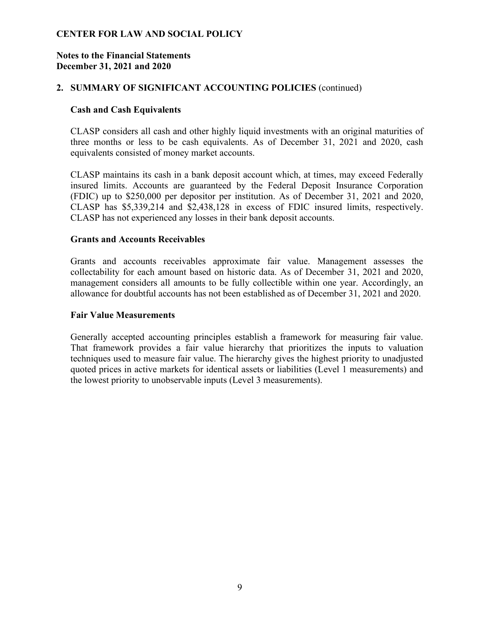#### **Notes to the Financial Statements December 31, 2021 and 2020**

## **2. SUMMARY OF SIGNIFICANT ACCOUNTING POLICIES** (continued)

#### **Cash and Cash Equivalents**

CLASP considers all cash and other highly liquid investments with an original maturities of three months or less to be cash equivalents. As of December 31, 2021 and 2020, cash equivalents consisted of money market accounts.

CLASP maintains its cash in a bank deposit account which, at times, may exceed Federally insured limits. Accounts are guaranteed by the Federal Deposit Insurance Corporation (FDIC) up to \$250,000 per depositor per institution. As of December 31, 2021 and 2020, CLASP has \$5,339,214 and \$2,438,128 in excess of FDIC insured limits, respectively. CLASP has not experienced any losses in their bank deposit accounts.

#### **Grants and Accounts Receivables**

Grants and accounts receivables approximate fair value. Management assesses the collectability for each amount based on historic data. As of December 31, 2021 and 2020, management considers all amounts to be fully collectible within one year. Accordingly, an allowance for doubtful accounts has not been established as of December 31, 2021 and 2020.

#### **Fair Value Measurements**

Generally accepted accounting principles establish a framework for measuring fair value. That framework provides a fair value hierarchy that prioritizes the inputs to valuation techniques used to measure fair value. The hierarchy gives the highest priority to unadjusted quoted prices in active markets for identical assets or liabilities (Level 1 measurements) and the lowest priority to unobservable inputs (Level 3 measurements).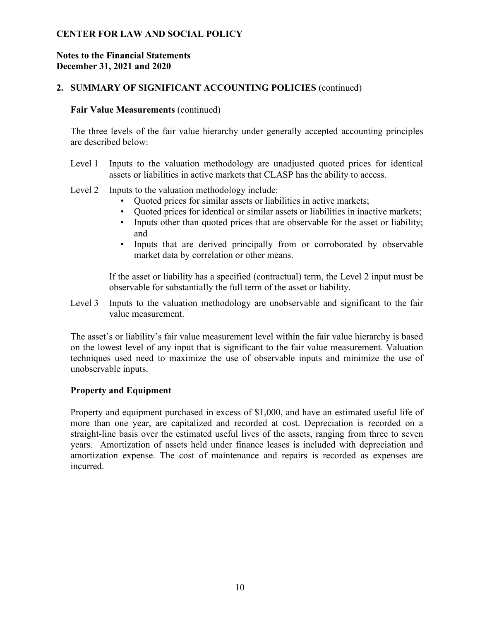#### **Notes to the Financial Statements December 31, 2021 and 2020**

## **2. SUMMARY OF SIGNIFICANT ACCOUNTING POLICIES** (continued)

#### **Fair Value Measurements** (continued)

The three levels of the fair value hierarchy under generally accepted accounting principles are described below:

- Level 1 Inputs to the valuation methodology are unadjusted quoted prices for identical assets or liabilities in active markets that CLASP has the ability to access.
- Level 2 Inputs to the valuation methodology include:
	- Quoted prices for similar assets or liabilities in active markets;
	- Quoted prices for identical or similar assets or liabilities in inactive markets;
	- Inputs other than quoted prices that are observable for the asset or liability; and
	- Inputs that are derived principally from or corroborated by observable market data by correlation or other means.

If the asset or liability has a specified (contractual) term, the Level 2 input must be observable for substantially the full term of the asset or liability.

Level 3 Inputs to the valuation methodology are unobservable and significant to the fair value measurement.

The asset's or liability's fair value measurement level within the fair value hierarchy is based on the lowest level of any input that is significant to the fair value measurement. Valuation techniques used need to maximize the use of observable inputs and minimize the use of unobservable inputs.

## **Property and Equipment**

Property and equipment purchased in excess of \$1,000, and have an estimated useful life of more than one year, are capitalized and recorded at cost. Depreciation is recorded on a straight-line basis over the estimated useful lives of the assets, ranging from three to seven years. Amortization of assets held under finance leases is included with depreciation and amortization expense. The cost of maintenance and repairs is recorded as expenses are incurred.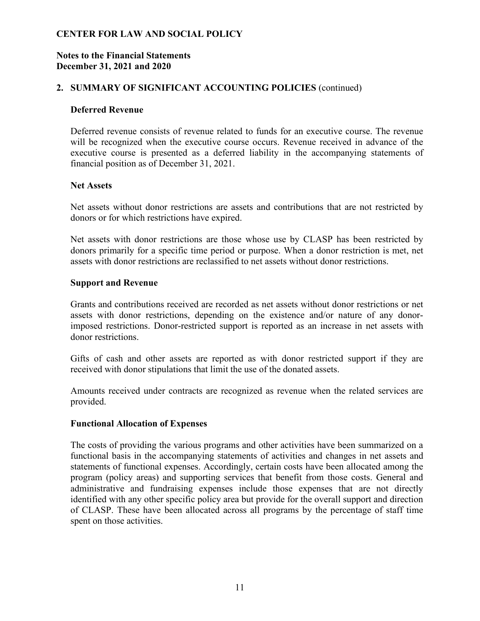#### **Notes to the Financial Statements December 31, 2021 and 2020**

## **2. SUMMARY OF SIGNIFICANT ACCOUNTING POLICIES** (continued)

#### **Deferred Revenue**

Deferred revenue consists of revenue related to funds for an executive course. The revenue will be recognized when the executive course occurs. Revenue received in advance of the executive course is presented as a deferred liability in the accompanying statements of financial position as of December 31, 2021.

#### **Net Assets**

Net assets without donor restrictions are assets and contributions that are not restricted by donors or for which restrictions have expired.

Net assets with donor restrictions are those whose use by CLASP has been restricted by donors primarily for a specific time period or purpose. When a donor restriction is met, net assets with donor restrictions are reclassified to net assets without donor restrictions.

### **Support and Revenue**

Grants and contributions received are recorded as net assets without donor restrictions or net assets with donor restrictions, depending on the existence and/or nature of any donorimposed restrictions. Donor-restricted support is reported as an increase in net assets with donor restrictions.

Gifts of cash and other assets are reported as with donor restricted support if they are received with donor stipulations that limit the use of the donated assets.

Amounts received under contracts are recognized as revenue when the related services are provided.

## **Functional Allocation of Expenses**

The costs of providing the various programs and other activities have been summarized on a functional basis in the accompanying statements of activities and changes in net assets and statements of functional expenses. Accordingly, certain costs have been allocated among the program (policy areas) and supporting services that benefit from those costs. General and administrative and fundraising expenses include those expenses that are not directly identified with any other specific policy area but provide for the overall support and direction of CLASP. These have been allocated across all programs by the percentage of staff time spent on those activities.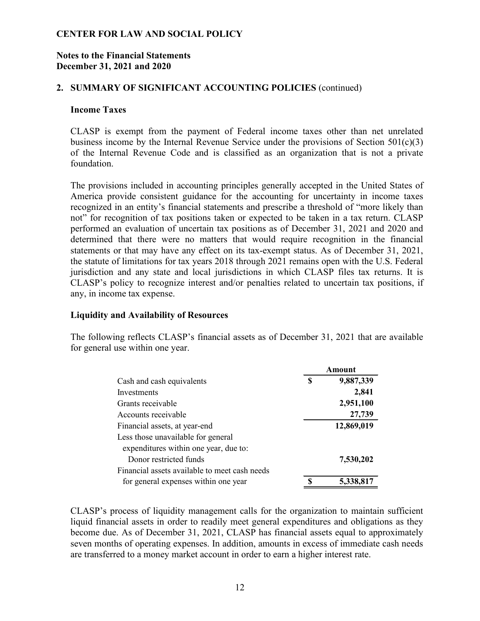#### **Notes to the Financial Statements December 31, 2021 and 2020**

#### **2. SUMMARY OF SIGNIFICANT ACCOUNTING POLICIES** (continued)

#### **Income Taxes**

CLASP is exempt from the payment of Federal income taxes other than net unrelated business income by the Internal Revenue Service under the provisions of Section 501(c)(3) of the Internal Revenue Code and is classified as an organization that is not a private foundation.

The provisions included in accounting principles generally accepted in the United States of America provide consistent guidance for the accounting for uncertainty in income taxes recognized in an entity's financial statements and prescribe a threshold of "more likely than not" for recognition of tax positions taken or expected to be taken in a tax return. CLASP performed an evaluation of uncertain tax positions as of December 31, 2021 and 2020 and determined that there were no matters that would require recognition in the financial statements or that may have any effect on its tax-exempt status. As of December 31, 2021, the statute of limitations for tax years 2018 through 2021 remains open with the U.S. Federal jurisdiction and any state and local jurisdictions in which CLASP files tax returns. It is CLASP's policy to recognize interest and/or penalties related to uncertain tax positions, if any, in income tax expense.

#### **Liquidity and Availability of Resources**

The following reflects CLASP's financial assets as of December 31, 2021 that are available for general use within one year.

|                                               |   | Amount     |
|-----------------------------------------------|---|------------|
| Cash and cash equivalents                     | S | 9,887,339  |
| Investments                                   |   | 2,841      |
| Grants receivable                             |   | 2,951,100  |
| Accounts receivable                           |   | 27,739     |
| Financial assets, at year-end                 |   | 12,869,019 |
| Less those unavailable for general            |   |            |
| expenditures within one year, due to:         |   |            |
| Donor restricted funds                        |   | 7,530,202  |
| Financial assets available to meet cash needs |   |            |
| for general expenses within one year          |   | 5,338,817  |

CLASP's process of liquidity management calls for the organization to maintain sufficient liquid financial assets in order to readily meet general expenditures and obligations as they become due. As of December 31, 2021, CLASP has financial assets equal to approximately seven months of operating expenses. In addition, amounts in excess of immediate cash needs are transferred to a money market account in order to earn a higher interest rate.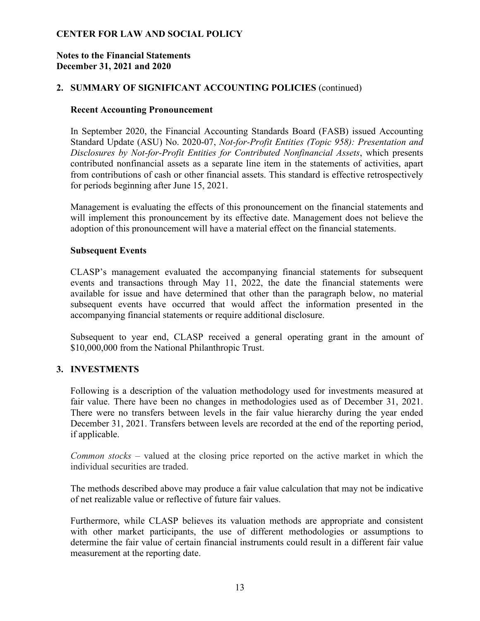#### **Notes to the Financial Statements December 31, 2021 and 2020**

### **2. SUMMARY OF SIGNIFICANT ACCOUNTING POLICIES** (continued)

#### **Recent Accounting Pronouncement**

In September 2020, the Financial Accounting Standards Board (FASB) issued Accounting Standard Update (ASU) No. 2020-07, *Not-for-Profit Entities (Topic 958): Presentation and Disclosures by Not-for-Profit Entities for Contributed Nonfinancial Assets*, which presents contributed nonfinancial assets as a separate line item in the statements of activities, apart from contributions of cash or other financial assets. This standard is effective retrospectively for periods beginning after June 15, 2021.

Management is evaluating the effects of this pronouncement on the financial statements and will implement this pronouncement by its effective date. Management does not believe the adoption of this pronouncement will have a material effect on the financial statements.

#### **Subsequent Events**

CLASP's management evaluated the accompanying financial statements for subsequent events and transactions through May 11, 2022, the date the financial statements were available for issue and have determined that other than the paragraph below, no material subsequent events have occurred that would affect the information presented in the accompanying financial statements or require additional disclosure.

Subsequent to year end, CLASP received a general operating grant in the amount of \$10,000,000 from the National Philanthropic Trust.

#### **3. INVESTMENTS**

Following is a description of the valuation methodology used for investments measured at fair value. There have been no changes in methodologies used as of December 31, 2021. There were no transfers between levels in the fair value hierarchy during the year ended December 31, 2021. Transfers between levels are recorded at the end of the reporting period, if applicable.

*Common stocks* – valued at the closing price reported on the active market in which the individual securities are traded.

The methods described above may produce a fair value calculation that may not be indicative of net realizable value or reflective of future fair values.

Furthermore, while CLASP believes its valuation methods are appropriate and consistent with other market participants, the use of different methodologies or assumptions to determine the fair value of certain financial instruments could result in a different fair value measurement at the reporting date.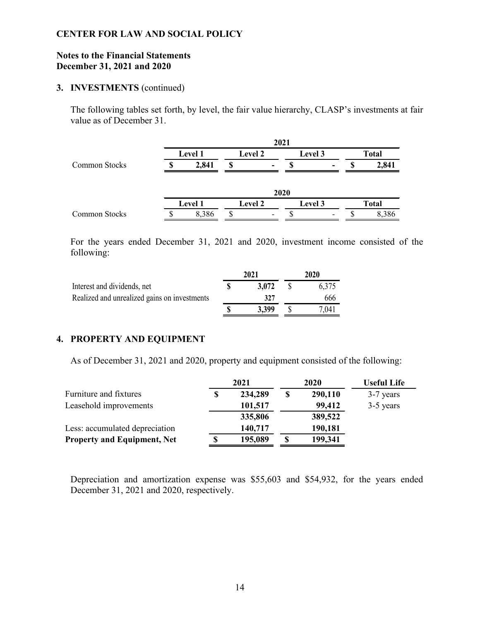#### **Notes to the Financial Statements December 31, 2021 and 2020**

#### **3. INVESTMENTS** (continued)

The following tables set forth, by level, the fair value hierarchy, CLASP's investments at fair value as of December 31.

|                      |                |                | 2021    |   |              |
|----------------------|----------------|----------------|---------|---|--------------|
|                      | <b>Level 1</b> | Level 2        | Level 3 |   | <b>Total</b> |
| Common Stocks        | 2,841          | œ              |         | ۰ | 2,841        |
|                      |                |                | 2020    |   |              |
|                      | <b>Level 1</b> | <b>Level 2</b> | Level 3 |   | <b>Total</b> |
| <b>Common Stocks</b> | 8,386          |                |         | - | 8,386        |

For the years ended December 31, 2021 and 2020, investment income consisted of the following:

|                                              | 2021  | 2020 |       |  |
|----------------------------------------------|-------|------|-------|--|
| Interest and dividends, net                  | 3.072 |      | 6.375 |  |
| Realized and unrealized gains on investments | 327   |      | 666   |  |
|                                              | 3.399 |      | 7.041 |  |

## **4. PROPERTY AND EQUIPMENT**

As of December 31, 2021 and 2020, property and equipment consisted of the following:

|                                    |   | 2021    | 2020          | <b>Useful Life</b> |
|------------------------------------|---|---------|---------------|--------------------|
| Furniture and fixtures             | S | 234,289 | \$<br>290,110 | 3-7 years          |
| Leasehold improvements             |   | 101,517 | 99,412        | 3-5 years          |
|                                    |   | 335,806 | 389,522       |                    |
| Less: accumulated depreciation     |   | 140,717 | 190,181       |                    |
| <b>Property and Equipment, Net</b> | S | 195,089 | 199,341       |                    |

Depreciation and amortization expense was \$55,603 and \$54,932, for the years ended December 31, 2021 and 2020, respectively.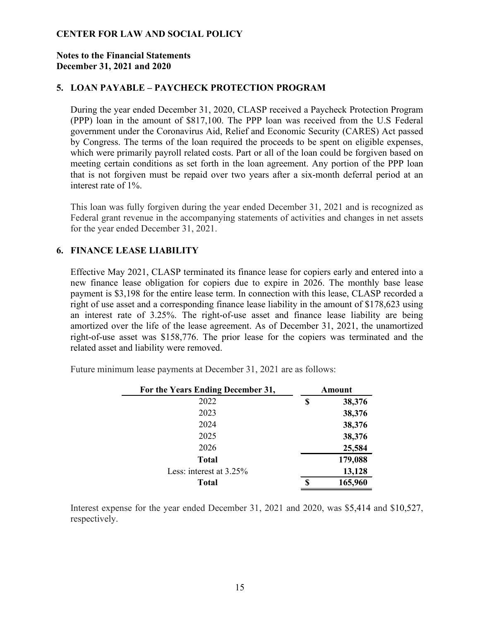#### **Notes to the Financial Statements December 31, 2021 and 2020**

#### **5. LOAN PAYABLE – PAYCHECK PROTECTION PROGRAM**

During the year ended December 31, 2020, CLASP received a Paycheck Protection Program (PPP) loan in the amount of \$817,100. The PPP loan was received from the U.S Federal government under the Coronavirus Aid, Relief and Economic Security (CARES) Act passed by Congress. The terms of the loan required the proceeds to be spent on eligible expenses, which were primarily payroll related costs. Part or all of the loan could be forgiven based on meeting certain conditions as set forth in the loan agreement. Any portion of the PPP loan that is not forgiven must be repaid over two years after a six-month deferral period at an interest rate of 1%.

This loan was fully forgiven during the year ended December 31, 2021 and is recognized as Federal grant revenue in the accompanying statements of activities and changes in net assets for the year ended December 31, 2021.

### **6. FINANCE LEASE LIABILITY**

Effective May 2021, CLASP terminated its finance lease for copiers early and entered into a new finance lease obligation for copiers due to expire in 2026. The monthly base lease payment is \$3,198 for the entire lease term. In connection with this lease, CLASP recorded a right of use asset and a corresponding finance lease liability in the amount of \$178,623 using an interest rate of 3.25%. The right-of-use asset and finance lease liability are being amortized over the life of the lease agreement. As of December 31, 2021, the unamortized right-of-use asset was \$158,776. The prior lease for the copiers was terminated and the related asset and liability were removed.

Future minimum lease payments at December 31, 2021 are as follows:

| For the Years Ending December 31, | Amount |         |  |
|-----------------------------------|--------|---------|--|
| 2022                              | \$     | 38,376  |  |
| 2023                              |        | 38,376  |  |
| 2024                              |        | 38,376  |  |
| 2025                              |        | 38,376  |  |
| 2026                              |        | 25,584  |  |
| <b>Total</b>                      |        | 179,088 |  |
| Less: interest at $3.25\%$        |        | 13,128  |  |
| <b>Total</b>                      | \$     | 165,960 |  |

Interest expense for the year ended December 31, 2021 and 2020, was \$5,414 and \$10,527, respectively.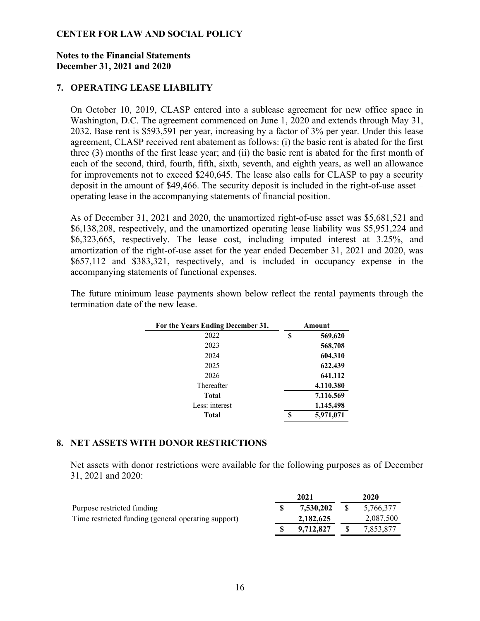#### **Notes to the Financial Statements December 31, 2021 and 2020**

## **7. OPERATING LEASE LIABILITY**

On October 10, 2019, CLASP entered into a sublease agreement for new office space in Washington, D.C. The agreement commenced on June 1, 2020 and extends through May 31, 2032. Base rent is \$593,591 per year, increasing by a factor of 3% per year. Under this lease agreement, CLASP received rent abatement as follows: (i) the basic rent is abated for the first three (3) months of the first lease year; and (ii) the basic rent is abated for the first month of each of the second, third, fourth, fifth, sixth, seventh, and eighth years, as well an allowance for improvements not to exceed \$240,645. The lease also calls for CLASP to pay a security deposit in the amount of \$49,466. The security deposit is included in the right-of-use asset – operating lease in the accompanying statements of financial position.

As of December 31, 2021 and 2020, the unamortized right-of-use asset was \$5,681,521 and \$6,138,208, respectively, and the unamortized operating lease liability was \$5,951,224 and \$6,323,665, respectively. The lease cost, including imputed interest at 3.25%, and amortization of the right-of-use asset for the year ended December 31, 2021 and 2020, was \$657,112 and \$383,321, respectively, and is included in occupancy expense in the accompanying statements of functional expenses.

The future minimum lease payments shown below reflect the rental payments through the termination date of the new lease.

| For the Years Ending December 31, | Amount |           |  |
|-----------------------------------|--------|-----------|--|
| 2022                              | \$     | 569,620   |  |
| 2023                              |        | 568,708   |  |
| 2024                              |        | 604,310   |  |
| 2025                              |        | 622,439   |  |
| 2026                              |        | 641,112   |  |
| Thereafter                        |        | 4,110,380 |  |
| Total                             |        | 7,116,569 |  |
| Less: interest                    |        | 1,145,498 |  |
| Total                             | S      | 5,971,071 |  |

#### **8. NET ASSETS WITH DONOR RESTRICTIONS**

Net assets with donor restrictions were available for the following purposes as of December 31, 2021 and 2020:

|                                                     | 2021 |           | 2020 |           |
|-----------------------------------------------------|------|-----------|------|-----------|
| Purpose restricted funding                          |      | 7,530,202 |      | 5,766,377 |
| Time restricted funding (general operating support) |      | 2,182,625 |      | 2,087,500 |
|                                                     |      | 9.712.827 |      | 7.853.877 |